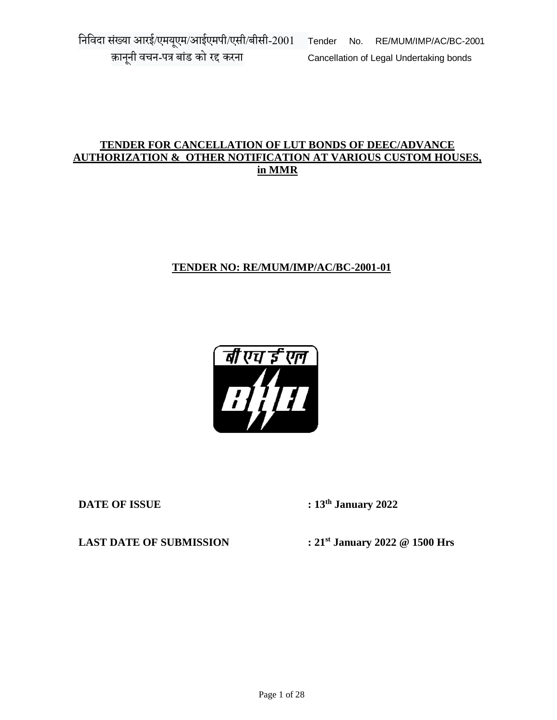## **TENDER FOR CANCELLATION OF LUT BONDS OF DEEC/ADVANCE AUTHORIZATION & OTHER NOTIFICATION AT VARIOUS CUSTOM HOUSES, in MMR**

# **TENDER NO: RE/MUM/IMP/AC/BC-2001-01**



**DATE OF ISSUE : 13th January 2022**

**LAST DATE OF SUBMISSION : 21st January 2022 @ 1500 Hrs**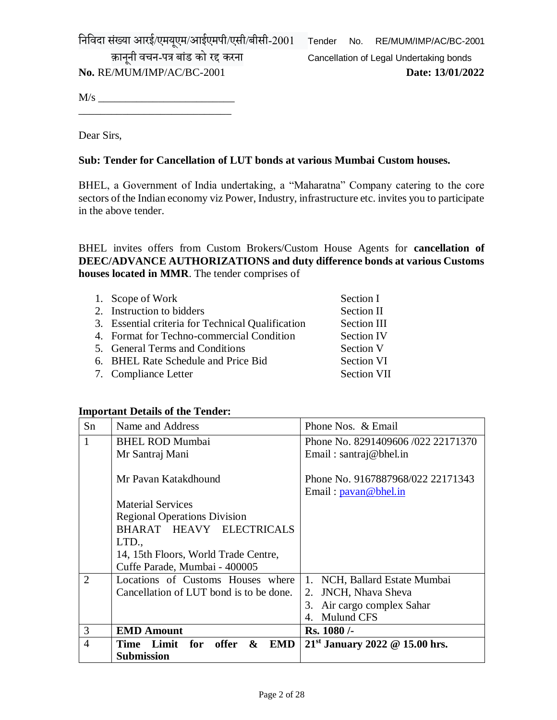निनिदा संख्या आरई/एमयएूम/आईएमपी/एसी/बीसी-2001 Tender No. RE/MUM/IMP/AC/BC-2001

**No.** RE/MUM/IMP/AC/BC-2001 **Date: 13/01/2022**

क़ानूनी वचन-पत्र बांड को रद्द करना Cancellation of Legal Undertaking bonds

M/s \_\_\_\_\_\_\_\_\_\_\_\_\_\_\_\_\_\_\_\_\_\_\_\_\_ \_\_\_\_\_\_\_\_\_\_\_\_\_\_\_\_\_\_\_\_\_\_\_\_\_\_\_\_

Dear Sirs,

# **Sub: Tender for Cancellation of LUT bonds at various Mumbai Custom houses.**

BHEL, a Government of India undertaking, a "Maharatna" Company catering to the core sectors of the Indian economy viz Power, Industry, infrastructure etc. invites you to participate in the above tender.

BHEL invites offers from Custom Brokers/Custom House Agents for **cancellation of DEEC/ADVANCE AUTHORIZATIONS and duty difference bonds at various Customs houses located in MMR**. The tender comprises of

| 1. Scope of Work                                  | Section I          |
|---------------------------------------------------|--------------------|
| 2. Instruction to bidders                         | Section II         |
| 3. Essential criteria for Technical Qualification | Section III        |
| 4. Format for Techno-commercial Condition         | <b>Section IV</b>  |
| 5. General Terms and Conditions                   | Section V          |
| 6. BHEL Rate Schedule and Price Bid               | Section VI         |
| 7. Compliance Letter                              | <b>Section VII</b> |

#### **Important Details of the Tender:**

| Sn             | Name and Address                        | Phone Nos. & Email                                        |  |  |
|----------------|-----------------------------------------|-----------------------------------------------------------|--|--|
| 1              | <b>BHEL ROD Mumbai</b>                  | Phone No. 8291409606/022 22171370                         |  |  |
|                | Mr Santraj Mani                         | Email: $santra$ @ bhel.in                                 |  |  |
|                | Mr Pavan Katakdhound                    | Phone No. 9167887968/022 22171343<br>Email: pavan@bhel.in |  |  |
|                | <b>Material Services</b>                |                                                           |  |  |
|                | <b>Regional Operations Division</b>     |                                                           |  |  |
|                | BHARAT HEAVY ELECTRICALS                |                                                           |  |  |
|                | LTD.,                                   |                                                           |  |  |
|                | 14, 15th Floors, World Trade Centre,    |                                                           |  |  |
|                | Cuffe Parade, Mumbai - 400005           |                                                           |  |  |
| 2              | Locations of Customs Houses where       | 1. NCH, Ballard Estate Mumbai                             |  |  |
|                | Cancellation of LUT bond is to be done. | <b>JNCH, Nhava Sheva</b><br>2.                            |  |  |
|                |                                         | Air cargo complex Sahar<br>3.                             |  |  |
|                |                                         | 4. Mulund CFS                                             |  |  |
| 3              | <b>EMD Amount</b>                       | Rs. 1080 /-                                               |  |  |
| $\overline{4}$ | offer & EMD<br><b>Time Limit</b><br>for | $21st$ January 2022 @ 15.00 hrs.                          |  |  |
|                | <b>Submission</b>                       |                                                           |  |  |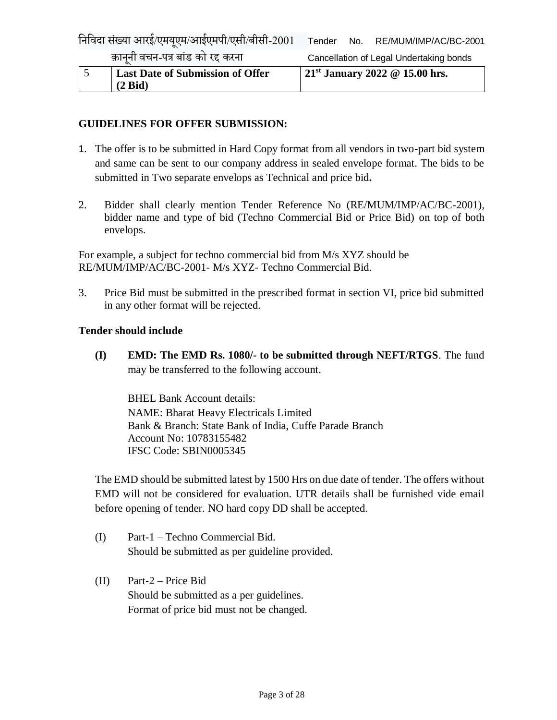| <b>Last Date of Submission of Offer</b> | $21^{st}$ January 2022 @ 15.00 hrs. |  |  |
|-----------------------------------------|-------------------------------------|--|--|
| $(2 \text{ Bid})$                       |                                     |  |  |

# **GUIDELINES FOR OFFER SUBMISSION:**

- 1. The offer is to be submitted in Hard Copy format from all vendors in two-part bid system and same can be sent to our company address in sealed envelope format. The bids to be submitted in Two separate envelops as Technical and price bid**.**
- 2. Bidder shall clearly mention Tender Reference No (RE/MUM/IMP/AC/BC-2001), bidder name and type of bid (Techno Commercial Bid or Price Bid) on top of both envelops.

For example, a subject for techno commercial bid from M/s XYZ should be RE/MUM/IMP/AC/BC-2001- M/s XYZ- Techno Commercial Bid.

3. Price Bid must be submitted in the prescribed format in section VI, price bid submitted in any other format will be rejected.

#### **Tender should include**

**(I) EMD: The EMD Rs. 1080/- to be submitted through NEFT/RTGS**. The fund may be transferred to the following account.

BHEL Bank Account details: NAME: Bharat Heavy Electricals Limited Bank & Branch: State Bank of India, Cuffe Parade Branch Account No: 10783155482 IFSC Code: SBIN0005345

The EMD should be submitted latest by 1500 Hrs on due date of tender. The offers without EMD will not be considered for evaluation. UTR details shall be furnished vide email before opening of tender. NO hard copy DD shall be accepted.

- (I) Part-1 Techno Commercial Bid. Should be submitted as per guideline provided.
- (II) Part-2 Price Bid Should be submitted as a per guidelines. Format of price bid must not be changed.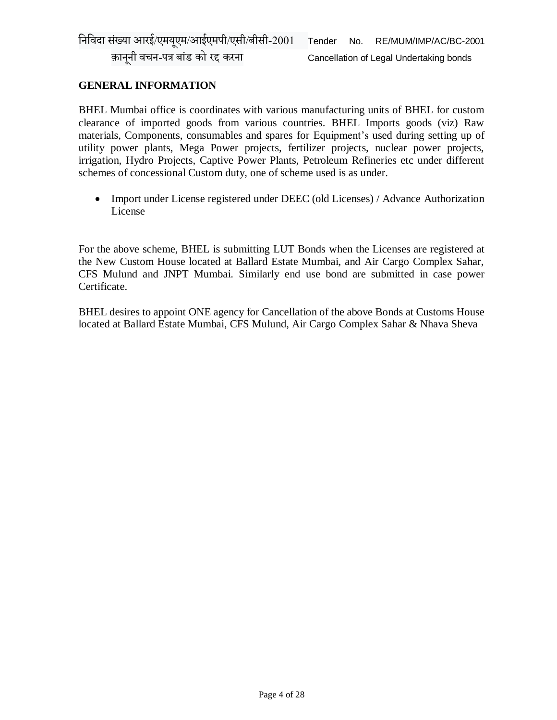#### **GENERAL INFORMATION**

BHEL Mumbai office is coordinates with various manufacturing units of BHEL for custom clearance of imported goods from various countries. BHEL Imports goods (viz) Raw materials, Components, consumables and spares for Equipment's used during setting up of utility power plants, Mega Power projects, fertilizer projects, nuclear power projects, irrigation, Hydro Projects, Captive Power Plants, Petroleum Refineries etc under different schemes of concessional Custom duty, one of scheme used is as under.

 Import under License registered under DEEC (old Licenses) / Advance Authorization License

For the above scheme, BHEL is submitting LUT Bonds when the Licenses are registered at the New Custom House located at Ballard Estate Mumbai, and Air Cargo Complex Sahar, CFS Mulund and JNPT Mumbai. Similarly end use bond are submitted in case power Certificate.

BHEL desires to appoint ONE agency for Cancellation of the above Bonds at Customs House located at Ballard Estate Mumbai, CFS Mulund, Air Cargo Complex Sahar & Nhava Sheva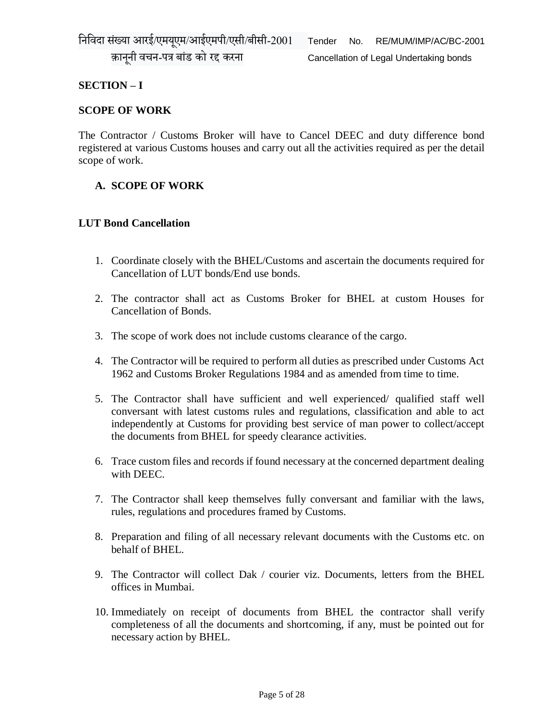क़ानूनी वचन-पत्र बांड को रद्द करना Cancellation of Legal Undertaking bonds

## **SECTION – I**

#### **SCOPE OF WORK**

The Contractor / Customs Broker will have to Cancel DEEC and duty difference bond registered at various Customs houses and carry out all the activities required as per the detail scope of work.

## **A. SCOPE OF WORK**

#### **LUT Bond Cancellation**

- 1. Coordinate closely with the BHEL/Customs and ascertain the documents required for Cancellation of LUT bonds/End use bonds.
- 2. The contractor shall act as Customs Broker for BHEL at custom Houses for Cancellation of Bonds.
- 3. The scope of work does not include customs clearance of the cargo.
- 4. The Contractor will be required to perform all duties as prescribed under Customs Act 1962 and Customs Broker Regulations 1984 and as amended from time to time.
- 5. The Contractor shall have sufficient and well experienced/ qualified staff well conversant with latest customs rules and regulations, classification and able to act independently at Customs for providing best service of man power to collect/accept the documents from BHEL for speedy clearance activities.
- 6. Trace custom files and records if found necessary at the concerned department dealing with DEEC.
- 7. The Contractor shall keep themselves fully conversant and familiar with the laws, rules, regulations and procedures framed by Customs.
- 8. Preparation and filing of all necessary relevant documents with the Customs etc. on behalf of BHEL.
- 9. The Contractor will collect Dak / courier viz. Documents, letters from the BHEL offices in Mumbai.
- 10. Immediately on receipt of documents from BHEL the contractor shall verify completeness of all the documents and shortcoming, if any, must be pointed out for necessary action by BHEL.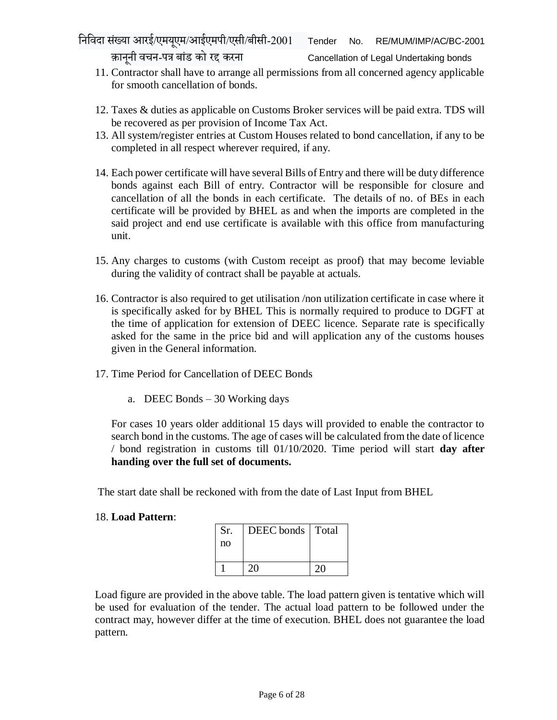- 11. Contractor shall have to arrange all permissions from all concerned agency applicable for smooth cancellation of bonds.
- 12. Taxes & duties as applicable on Customs Broker services will be paid extra. TDS will be recovered as per provision of Income Tax Act.
- 13. All system/register entries at Custom Houses related to bond cancellation, if any to be completed in all respect wherever required, if any.
- 14. Each power certificate will have several Bills of Entry and there will be duty difference bonds against each Bill of entry. Contractor will be responsible for closure and cancellation of all the bonds in each certificate. The details of no. of BEs in each certificate will be provided by BHEL as and when the imports are completed in the said project and end use certificate is available with this office from manufacturing unit.
- 15. Any charges to customs (with Custom receipt as proof) that may become leviable during the validity of contract shall be payable at actuals.
- 16. Contractor is also required to get utilisation /non utilization certificate in case where it is specifically asked for by BHEL This is normally required to produce to DGFT at the time of application for extension of DEEC licence. Separate rate is specifically asked for the same in the price bid and will application any of the customs houses given in the General information.
- 17. Time Period for Cancellation of DEEC Bonds
	- a. DEEC Bonds 30 Working days

For cases 10 years older additional 15 days will provided to enable the contractor to search bond in the customs. The age of cases will be calculated from the date of licence / bond registration in customs till 01/10/2020. Time period will start **day after handing over the full set of documents.**

The start date shall be reckoned with from the date of Last Input from BHEL

#### 18. **Load Pattern**:

| Sr. | DEEC bonds   Total |  |
|-----|--------------------|--|
| no  |                    |  |
|     |                    |  |
|     |                    |  |

Load figure are provided in the above table. The load pattern given is tentative which will be used for evaluation of the tender. The actual load pattern to be followed under the contract may, however differ at the time of execution. BHEL does not guarantee the load pattern.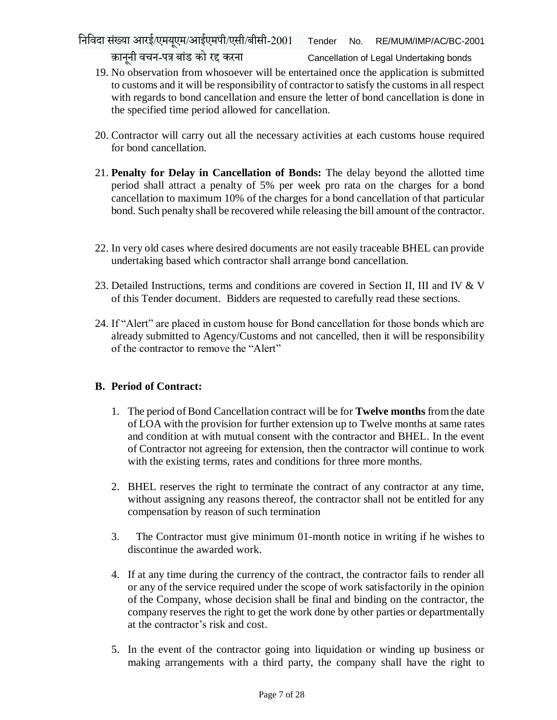क़ानूनी वचन-पत्र बांड को रद्द करना Cancellation of Legal Undertaking bonds

- 19. No observation from whosoever will be entertained once the application is submitted to customs and it will be responsibility of contractor to satisfy the customs in all respect with regards to bond cancellation and ensure the letter of bond cancellation is done in the specified time period allowed for cancellation.
- 20. Contractor will carry out all the necessary activities at each customs house required for bond cancellation.
- 21. **Penalty for Delay in Cancellation of Bonds:** The delay beyond the allotted time period shall attract a penalty of 5% per week pro rata on the charges for a bond cancellation to maximum 10% of the charges for a bond cancellation of that particular bond. Such penalty shall be recovered while releasing the bill amount of the contractor.
- 22. In very old cases where desired documents are not easily traceable BHEL can provide undertaking based which contractor shall arrange bond cancellation.
- 23. Detailed Instructions, terms and conditions are covered in Section II, III and IV & V of this Tender document. Bidders are requested to carefully read these sections.
- 24. If "Alert" are placed in custom house for Bond cancellation for those bonds which are already submitted to Agency/Customs and not cancelled, then it will be responsibility of the contractor to remove the "Alert"

# **B. Period of Contract:**

- 1. The period of Bond Cancellation contract will be for **Twelve months** from the date of LOA with the provision for further extension up to Twelve months at same rates and condition at with mutual consent with the contractor and BHEL. In the event of Contractor not agreeing for extension, then the contractor will continue to work with the existing terms, rates and conditions for three more months.
- 2. BHEL reserves the right to terminate the contract of any contractor at any time, without assigning any reasons thereof, the contractor shall not be entitled for any compensation by reason of such termination
- 3. The Contractor must give minimum 01-month notice in writing if he wishes to discontinue the awarded work.
- 4. If at any time during the currency of the contract, the contractor fails to render all or any of the service required under the scope of work satisfactorily in the opinion of the Company, whose decision shall be final and binding on the contractor, the company reserves the right to get the work done by other parties or departmentally at the contractor's risk and cost.
- 5. In the event of the contractor going into liquidation or winding up business or making arrangements with a third party, the company shall have the right to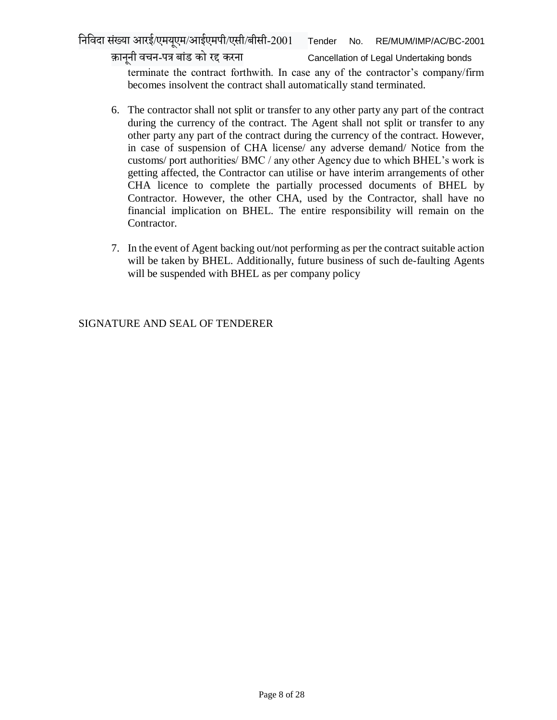क़ानूनी वचन-पत्र बांड को रद्द करना Cancellation of Legal Undertaking bonds

terminate the contract forthwith. In case any of the contractor's company/firm becomes insolvent the contract shall automatically stand terminated.

- 6. The contractor shall not split or transfer to any other party any part of the contract during the currency of the contract. The Agent shall not split or transfer to any other party any part of the contract during the currency of the contract. However, in case of suspension of CHA license/ any adverse demand/ Notice from the customs/ port authorities/ BMC / any other Agency due to which BHEL's work is getting affected, the Contractor can utilise or have interim arrangements of other CHA licence to complete the partially processed documents of BHEL by Contractor. However, the other CHA, used by the Contractor, shall have no financial implication on BHEL. The entire responsibility will remain on the Contractor.
- 7. In the event of Agent backing out/not performing as per the contract suitable action will be taken by BHEL. Additionally, future business of such de-faulting Agents will be suspended with BHEL as per company policy

SIGNATURE AND SEAL OF TENDERER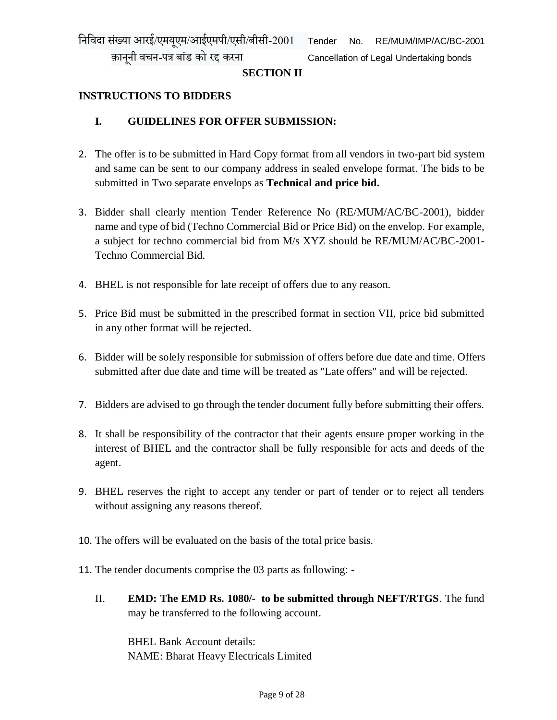#### **INSTRUCTIONS TO BIDDERS**

#### **I. GUIDELINES FOR OFFER SUBMISSION:**

- 2. The offer is to be submitted in Hard Copy format from all vendors in two-part bid system and same can be sent to our company address in sealed envelope format. The bids to be submitted in Two separate envelops as **Technical and price bid.**
- 3. Bidder shall clearly mention Tender Reference No (RE/MUM/AC/BC-2001), bidder name and type of bid (Techno Commercial Bid or Price Bid) on the envelop. For example, a subject for techno commercial bid from M/s XYZ should be RE/MUM/AC/BC-2001- Techno Commercial Bid.
- 4. BHEL is not responsible for late receipt of offers due to any reason.
- 5. Price Bid must be submitted in the prescribed format in section VII, price bid submitted in any other format will be rejected.
- 6. Bidder will be solely responsible for submission of offers before due date and time. Offers submitted after due date and time will be treated as "Late offers" and will be rejected.
- 7. Bidders are advised to go through the tender document fully before submitting their offers.
- 8. It shall be responsibility of the contractor that their agents ensure proper working in the interest of BHEL and the contractor shall be fully responsible for acts and deeds of the agent.
- 9. BHEL reserves the right to accept any tender or part of tender or to reject all tenders without assigning any reasons thereof.
- 10. The offers will be evaluated on the basis of the total price basis.
- 11. The tender documents comprise the 03 parts as following:
	- II. **EMD: The EMD Rs. 1080/- to be submitted through NEFT/RTGS**. The fund may be transferred to the following account.

BHEL Bank Account details: NAME: Bharat Heavy Electricals Limited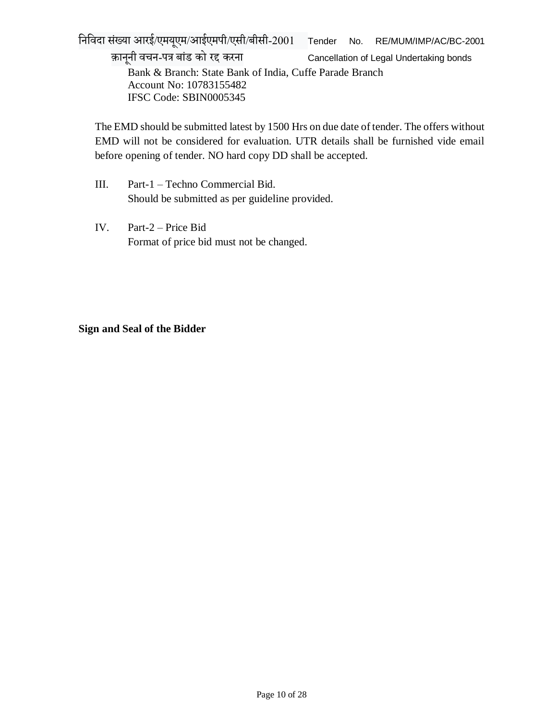निनिदा संख्या आरई/एमयएूम/आईएमपी/एसी/बीसी-2001 Tender No. RE/MUM/IMP/AC/BC-2001

क़ानूनी वचन-पत्र बांड को रद्द करना Cancellation of Legal Undertaking bonds Bank & Branch: State Bank of India, Cuffe Parade Branch Account No: 10783155482 IFSC Code: SBIN0005345

The EMD should be submitted latest by 1500 Hrs on due date of tender. The offers without EMD will not be considered for evaluation. UTR details shall be furnished vide email before opening of tender. NO hard copy DD shall be accepted.

- III. Part-1 Techno Commercial Bid. Should be submitted as per guideline provided.
- IV. Part-2 Price Bid Format of price bid must not be changed.

#### **Sign and Seal of the Bidder**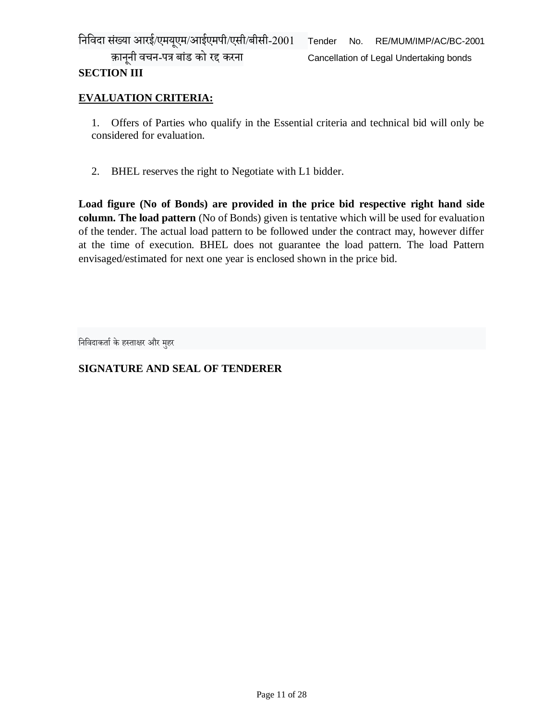क़ानूनी वचन-पत्र बांड को रद्द करना Cancellation of Legal Undertaking bonds

# **SECTION III**

# **EVALUATION CRITERIA:**

1. Offers of Parties who qualify in the Essential criteria and technical bid will only be considered for evaluation.

2. BHEL reserves the right to Negotiate with L1 bidder.

**Load figure (No of Bonds) are provided in the price bid respective right hand side column. The load pattern** (No of Bonds) given is tentative which will be used for evaluation of the tender. The actual load pattern to be followed under the contract may, however differ at the time of execution. BHEL does not guarantee the load pattern. The load Pattern envisaged/estimated for next one year is enclosed shown in the price bid.

निनिदाकर्ााकेहस्र्ाक्षर और महुर

# **SIGNATURE AND SEAL OF TENDERER**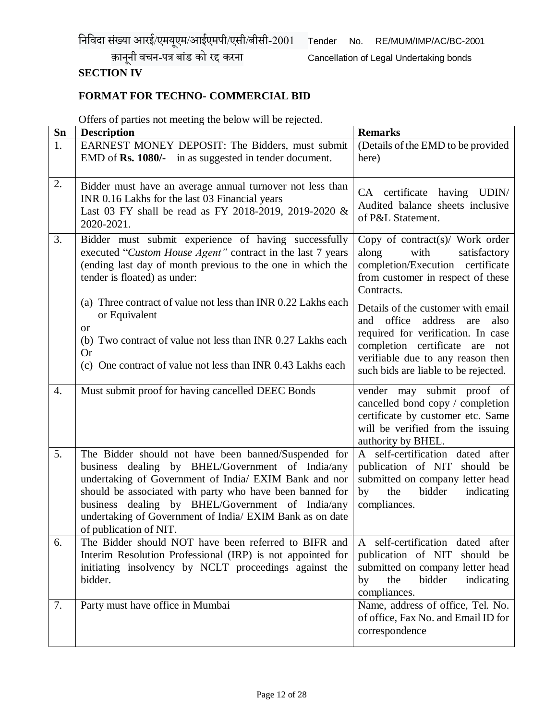निनिदा संख्या आरई/एमयएूम/आईएमपी/एसी/बीसी-2001 Tender No. RE/MUM/IMP/AC/BC-2001

क़ानूनी वचन-पत्र बांड को रद्द करना Cancellation of Legal Undertaking bonds

# **SECTION IV**

# **FORMAT FOR TECHNO- COMMERCIAL BID**

Offers of parties not meeting the below will be rejected.

| Sn               | <b>Description</b>                                                                                                                                                                                                                                                                                                                                                      | <b>Remarks</b>                                                                                                                                                 |
|------------------|-------------------------------------------------------------------------------------------------------------------------------------------------------------------------------------------------------------------------------------------------------------------------------------------------------------------------------------------------------------------------|----------------------------------------------------------------------------------------------------------------------------------------------------------------|
| 1.               | EARNEST MONEY DEPOSIT: The Bidders, must submit<br>EMD of Rs. 1080/- in as suggested in tender document.                                                                                                                                                                                                                                                                | (Details of the EMD to be provided<br>here)                                                                                                                    |
| 2.               | Bidder must have an average annual turnover not less than<br>INR 0.16 Lakhs for the last 03 Financial years<br>Last 03 FY shall be read as FY 2018-2019, 2019-2020 &<br>2020-2021.                                                                                                                                                                                      | CA certificate having UDIN/<br>Audited balance sheets inclusive<br>of P&L Statement.                                                                           |
| 3.               | Bidder must submit experience of having successfully<br>executed "Custom House Agent" contract in the last 7 years<br>(ending last day of month previous to the one in which the<br>tender is floated) as under:                                                                                                                                                        | Copy of contract(s)/ Work order<br>along<br>with<br>satisfactory<br>completion/Execution certificate<br>from customer in respect of these<br>Contracts.        |
|                  | (a) Three contract of value not less than INR 0.22 Lakhs each<br>or Equivalent<br>or<br>(b) Two contract of value not less than INR 0.27 Lakhs each                                                                                                                                                                                                                     | Details of the customer with email<br>and office<br>address<br>are<br>also<br>required for verification. In case<br>completion certificate are<br>not          |
|                  | <b>Or</b><br>(c) One contract of value not less than INR 0.43 Lakhs each                                                                                                                                                                                                                                                                                                | verifiable due to any reason then<br>such bids are liable to be rejected.                                                                                      |
| $\overline{4}$ . | Must submit proof for having cancelled DEEC Bonds                                                                                                                                                                                                                                                                                                                       | vender may submit proof of<br>cancelled bond copy / completion<br>certificate by customer etc. Same<br>will be verified from the issuing<br>authority by BHEL. |
| 5.               | The Bidder should not have been banned/Suspended for<br>business dealing by BHEL/Government of India/any<br>undertaking of Government of India/ EXIM Bank and nor<br>should be associated with party who have been banned for<br>business dealing by BHEL/Government of India/any<br>undertaking of Government of India/ EXIM Bank as on date<br>of publication of NIT. | A self-certification dated after<br>publication of NIT should be<br>submitted on company letter head<br>bidder<br>the<br>indicating<br>by<br>compliances.      |
| 6.               | The Bidder should NOT have been referred to BIFR and<br>Interim Resolution Professional (IRP) is not appointed for<br>initiating insolvency by NCLT proceedings against the<br>bidder.                                                                                                                                                                                  | A self-certification dated after<br>publication of NIT should be<br>submitted on company letter head<br>bidder<br>the<br>indicating<br>by<br>compliances.      |
| 7.               | Party must have office in Mumbai                                                                                                                                                                                                                                                                                                                                        | Name, address of office, Tel. No.<br>of office, Fax No. and Email ID for<br>correspondence                                                                     |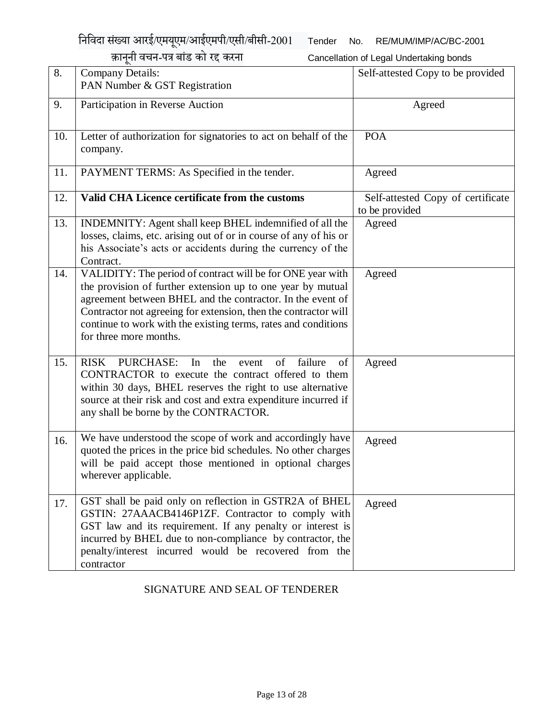निनिदा सख्ं या आरई/एमयएूम/आईएमपी/एसी/बीसी-2001 Tender No. RE/MUM/IMP/AC/BC-2001

|     | क़ानूनी वचन-पत्र बांड को रद्द करना                                                                                                                                                                                                                                                                                                                     | Cancellation of Legal Undertaking bonds             |
|-----|--------------------------------------------------------------------------------------------------------------------------------------------------------------------------------------------------------------------------------------------------------------------------------------------------------------------------------------------------------|-----------------------------------------------------|
| 8.  | <b>Company Details:</b><br>PAN Number & GST Registration                                                                                                                                                                                                                                                                                               | Self-attested Copy to be provided                   |
| 9.  | Participation in Reverse Auction                                                                                                                                                                                                                                                                                                                       | Agreed                                              |
| 10. | Letter of authorization for signatories to act on behalf of the<br>company.                                                                                                                                                                                                                                                                            | <b>POA</b>                                          |
| 11. | PAYMENT TERMS: As Specified in the tender.                                                                                                                                                                                                                                                                                                             | Agreed                                              |
| 12. | Valid CHA Licence certificate from the customs                                                                                                                                                                                                                                                                                                         | Self-attested Copy of certificate<br>to be provided |
| 13. | INDEMNITY: Agent shall keep BHEL indemnified of all the<br>losses, claims, etc. arising out of or in course of any of his or<br>his Associate's acts or accidents during the currency of the<br>Contract.                                                                                                                                              | Agreed                                              |
| 14. | VALIDITY: The period of contract will be for ONE year with<br>the provision of further extension up to one year by mutual<br>agreement between BHEL and the contractor. In the event of<br>Contractor not agreeing for extension, then the contractor will<br>continue to work with the existing terms, rates and conditions<br>for three more months. | Agreed                                              |
| 15. | failure<br><b>RISK</b><br><b>PURCHASE:</b><br>In<br>the<br>of<br>of<br>event<br>CONTRACTOR to execute the contract offered to them<br>within 30 days, BHEL reserves the right to use alternative<br>source at their risk and cost and extra expenditure incurred if<br>any shall be borne by the CONTRACTOR.                                           | Agreed                                              |
| 16. | We have understood the scope of work and accordingly have<br>quoted the prices in the price bid schedules. No other charges<br>will be paid accept those mentioned in optional charges<br>wherever applicable.                                                                                                                                         | Agreed                                              |
| 17. | GST shall be paid only on reflection in GSTR2A of BHEL<br>GSTIN: 27AAACB4146P1ZF. Contractor to comply with<br>GST law and its requirement. If any penalty or interest is<br>incurred by BHEL due to non-compliance by contractor, the<br>penalty/interest incurred would be recovered from the<br>contractor                                          | Agreed                                              |

SIGNATURE AND SEAL OF TENDERER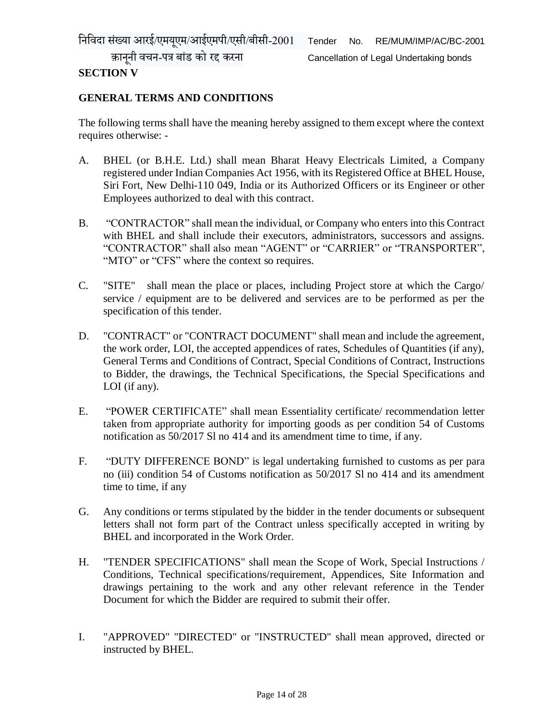# **SECTION V**

## **GENERAL TERMS AND CONDITIONS**

The following terms shall have the meaning hereby assigned to them except where the context requires otherwise: -

- A. BHEL (or B.H.E. Ltd.) shall mean Bharat Heavy Electricals Limited, a Company registered under Indian Companies Act 1956, with its Registered Office at BHEL House, Siri Fort, New Delhi-110 049, India or its Authorized Officers or its Engineer or other Employees authorized to deal with this contract.
- B. "CONTRACTOR" shall mean the individual, or Company who enters into this Contract with BHEL and shall include their executors, administrators, successors and assigns. "CONTRACTOR" shall also mean "AGENT" or "CARRIER" or "TRANSPORTER", "MTO" or "CFS" where the context so requires.
- C. "SITE" shall mean the place or places, including Project store at which the Cargo/ service / equipment are to be delivered and services are to be performed as per the specification of this tender.
- D. "CONTRACT" or "CONTRACT DOCUMENT" shall mean and include the agreement, the work order, LOI, the accepted appendices of rates, Schedules of Quantities (if any), General Terms and Conditions of Contract, Special Conditions of Contract, Instructions to Bidder, the drawings, the Technical Specifications, the Special Specifications and LOI (if any).
- E. "POWER CERTIFICATE" shall mean Essentiality certificate/ recommendation letter taken from appropriate authority for importing goods as per condition 54 of Customs notification as 50/2017 Sl no 414 and its amendment time to time, if any.
- F. "DUTY DIFFERENCE BOND" is legal undertaking furnished to customs as per para no (iii) condition 54 of Customs notification as 50/2017 Sl no 414 and its amendment time to time, if any
- G. Any conditions or terms stipulated by the bidder in the tender documents or subsequent letters shall not form part of the Contract unless specifically accepted in writing by BHEL and incorporated in the Work Order.
- H. "TENDER SPECIFICATIONS" shall mean the Scope of Work, Special Instructions / Conditions, Technical specifications/requirement, Appendices, Site Information and drawings pertaining to the work and any other relevant reference in the Tender Document for which the Bidder are required to submit their offer.
- I. "APPROVED" "DIRECTED" or "INSTRUCTED" shall mean approved, directed or instructed by BHEL.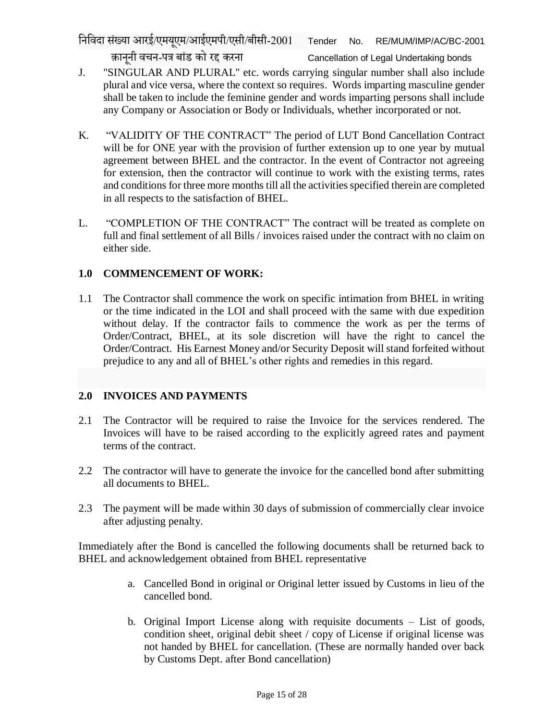निनिदा सख्ं या आरई/एमयएूम/आईएमपी/एसी/बीसी-2001 Tender No. RE/MUM/IMP/AC/BC-2001

क़ानूनी वचन-पत्र बांड को रद्द करना Cancellation of Legal Undertaking bonds

- J. "SINGULAR AND PLURAL" etc. words carrying singular number shall also include plural and vice versa, where the context so requires. Words imparting masculine gender shall be taken to include the feminine gender and words imparting persons shall include any Company or Association or Body or Individuals, whether incorporated or not.
- K. "VALIDITY OF THE CONTRACT" The period of LUT Bond Cancellation Contract will be for ONE year with the provision of further extension up to one year by mutual agreement between BHEL and the contractor. In the event of Contractor not agreeing for extension, then the contractor will continue to work with the existing terms, rates and conditions for three more months till all the activities specified therein are completed in all respects to the satisfaction of BHEL.
- L. "COMPLETION OF THE CONTRACT" The contract will be treated as complete on full and final settlement of all Bills / invoices raised under the contract with no claim on either side.

# **1.0 COMMENCEMENT OF WORK:**

1.1 The Contractor shall commence the work on specific intimation from BHEL in writing or the time indicated in the LOI and shall proceed with the same with due expedition without delay. If the contractor fails to commence the work as per the terms of Order/Contract, BHEL, at its sole discretion will have the right to cancel the Order/Contract. His Earnest Money and/or Security Deposit will stand forfeited without prejudice to any and all of BHEL's other rights and remedies in this regard.

# **2.0 INVOICES AND PAYMENTS**

- 2.1 The Contractor will be required to raise the Invoice for the services rendered. The Invoices will have to be raised according to the explicitly agreed rates and payment terms of the contract.
- 2.2 The contractor will have to generate the invoice for the cancelled bond after submitting all documents to BHEL.
- 2.3 The payment will be made within 30 days of submission of commercially clear invoice after adjusting penalty.

Immediately after the Bond is cancelled the following documents shall be returned back to BHEL and acknowledgement obtained from BHEL representative

- a. Cancelled Bond in original or Original letter issued by Customs in lieu of the cancelled bond.
- b. Original Import License along with requisite documents List of goods, condition sheet, original debit sheet / copy of License if original license was not handed by BHEL for cancellation. (These are normally handed over back by Customs Dept. after Bond cancellation)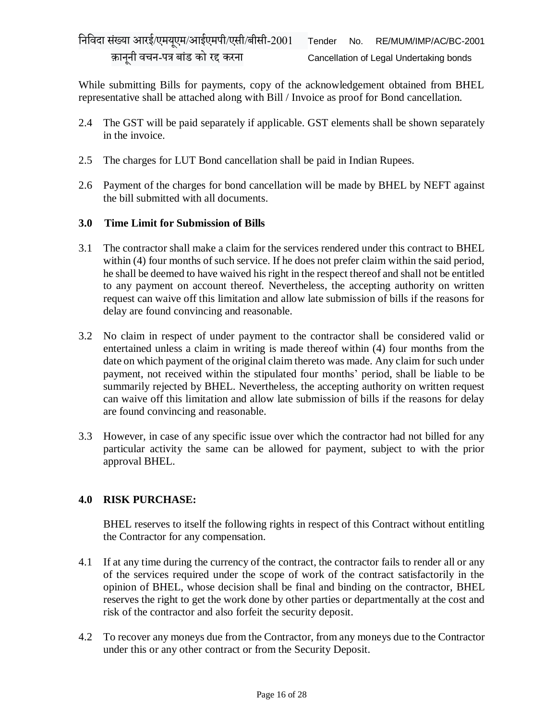While submitting Bills for payments, copy of the acknowledgement obtained from BHEL representative shall be attached along with Bill / Invoice as proof for Bond cancellation.

- 2.4 The GST will be paid separately if applicable. GST elements shall be shown separately in the invoice.
- 2.5 The charges for LUT Bond cancellation shall be paid in Indian Rupees.
- 2.6 Payment of the charges for bond cancellation will be made by BHEL by NEFT against the bill submitted with all documents.

## **3.0 Time Limit for Submission of Bills**

- 3.1 The contractor shall make a claim for the services rendered under this contract to BHEL within (4) four months of such service. If he does not prefer claim within the said period, he shall be deemed to have waived his right in the respect thereof and shall not be entitled to any payment on account thereof. Nevertheless, the accepting authority on written request can waive off this limitation and allow late submission of bills if the reasons for delay are found convincing and reasonable.
- 3.2 No claim in respect of under payment to the contractor shall be considered valid or entertained unless a claim in writing is made thereof within (4) four months from the date on which payment of the original claim thereto was made. Any claim for such under payment, not received within the stipulated four months' period, shall be liable to be summarily rejected by BHEL. Nevertheless, the accepting authority on written request can waive off this limitation and allow late submission of bills if the reasons for delay are found convincing and reasonable.
- 3.3 However, in case of any specific issue over which the contractor had not billed for any particular activity the same can be allowed for payment, subject to with the prior approval BHEL.

# **4.0 RISK PURCHASE:**

BHEL reserves to itself the following rights in respect of this Contract without entitling the Contractor for any compensation.

- 4.1 If at any time during the currency of the contract, the contractor fails to render all or any of the services required under the scope of work of the contract satisfactorily in the opinion of BHEL, whose decision shall be final and binding on the contractor, BHEL reserves the right to get the work done by other parties or departmentally at the cost and risk of the contractor and also forfeit the security deposit.
- 4.2 To recover any moneys due from the Contractor, from any moneys due to the Contractor under this or any other contract or from the Security Deposit.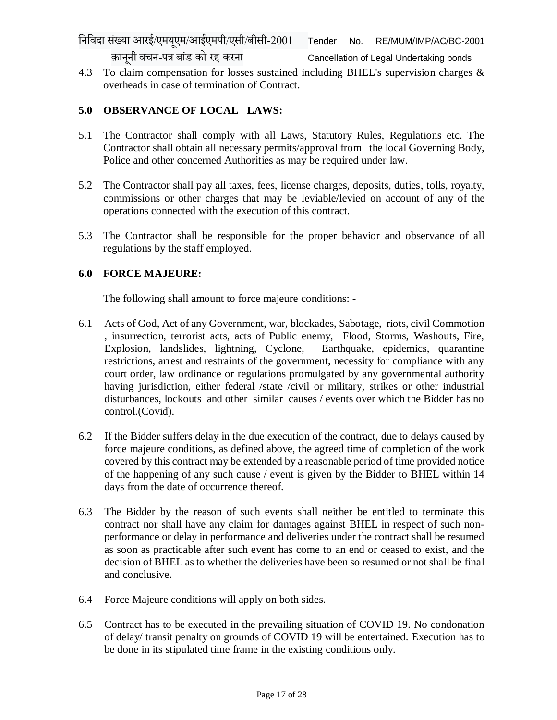4.3 To claim compensation for losses sustained including BHEL's supervision charges & overheads in case of termination of Contract.

#### **5.0 OBSERVANCE OF LOCAL LAWS:**

- 5.1 The Contractor shall comply with all Laws, Statutory Rules, Regulations etc. The Contractor shall obtain all necessary permits/approval from the local Governing Body, Police and other concerned Authorities as may be required under law.
- 5.2 The Contractor shall pay all taxes, fees, license charges, deposits, duties, tolls, royalty, commissions or other charges that may be leviable/levied on account of any of the operations connected with the execution of this contract.
- 5.3 The Contractor shall be responsible for the proper behavior and observance of all regulations by the staff employed.

#### **6.0 FORCE MAJEURE:**

The following shall amount to force majeure conditions: -

- 6.1 Acts of God, Act of any Government, war, blockades, Sabotage, riots, civil Commotion , insurrection, terrorist acts, acts of Public enemy, Flood, Storms, Washouts, Fire, Explosion, landslides, lightning, Cyclone, Earthquake, epidemics, quarantine restrictions, arrest and restraints of the government, necessity for compliance with any court order, law ordinance or regulations promulgated by any governmental authority having jurisdiction, either federal /state /civil or military, strikes or other industrial disturbances, lockouts and other similar causes / events over which the Bidder has no control.(Covid).
- 6.2 If the Bidder suffers delay in the due execution of the contract, due to delays caused by force majeure conditions, as defined above, the agreed time of completion of the work covered by this contract may be extended by a reasonable period of time provided notice of the happening of any such cause / event is given by the Bidder to BHEL within 14 days from the date of occurrence thereof.
- 6.3 The Bidder by the reason of such events shall neither be entitled to terminate this contract nor shall have any claim for damages against BHEL in respect of such nonperformance or delay in performance and deliveries under the contract shall be resumed as soon as practicable after such event has come to an end or ceased to exist, and the decision of BHEL as to whether the deliveries have been so resumed or not shall be final and conclusive.
- 6.4 Force Majeure conditions will apply on both sides.
- 6.5 Contract has to be executed in the prevailing situation of COVID 19. No condonation of delay/ transit penalty on grounds of COVID 19 will be entertained. Execution has to be done in its stipulated time frame in the existing conditions only.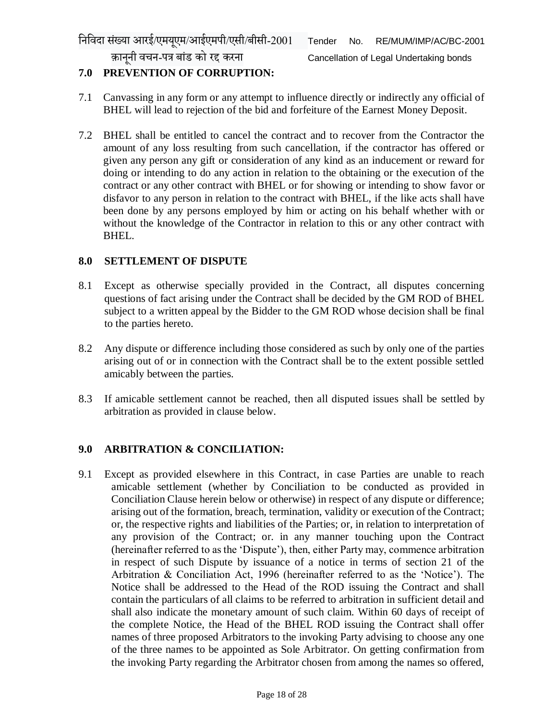क़ानूनी वचन-पत्र बांड को रद्द करना Cancellation of Legal Undertaking bonds

# **7.0 PREVENTION OF CORRUPTION:**

- 7.1 Canvassing in any form or any attempt to influence directly or indirectly any official of BHEL will lead to rejection of the bid and forfeiture of the Earnest Money Deposit.
- 7.2 BHEL shall be entitled to cancel the contract and to recover from the Contractor the amount of any loss resulting from such cancellation, if the contractor has offered or given any person any gift or consideration of any kind as an inducement or reward for doing or intending to do any action in relation to the obtaining or the execution of the contract or any other contract with BHEL or for showing or intending to show favor or disfavor to any person in relation to the contract with BHEL, if the like acts shall have been done by any persons employed by him or acting on his behalf whether with or without the knowledge of the Contractor in relation to this or any other contract with BHEL.

## **8.0 SETTLEMENT OF DISPUTE**

- 8.1 Except as otherwise specially provided in the Contract, all disputes concerning questions of fact arising under the Contract shall be decided by the GM ROD of BHEL subject to a written appeal by the Bidder to the GM ROD whose decision shall be final to the parties hereto.
- 8.2 Any dispute or difference including those considered as such by only one of the parties arising out of or in connection with the Contract shall be to the extent possible settled amicably between the parties.
- 8.3 If amicable settlement cannot be reached, then all disputed issues shall be settled by arbitration as provided in clause below.

# **9.0 ARBITRATION & CONCILIATION:**

9.1 Except as provided elsewhere in this Contract, in case Parties are unable to reach amicable settlement (whether by Conciliation to be conducted as provided in Conciliation Clause herein below or otherwise) in respect of any dispute or difference; arising out of the formation, breach, termination, validity or execution of the Contract; or, the respective rights and liabilities of the Parties; or, in relation to interpretation of any provision of the Contract; or. in any manner touching upon the Contract (hereinafter referred to as the 'Dispute'), then, either Party may, commence arbitration in respect of such Dispute by issuance of a notice in terms of section 21 of the Arbitration & Conciliation Act, 1996 (hereinafter referred to as the 'Notice'). The Notice shall be addressed to the Head of the ROD issuing the Contract and shall contain the particulars of all claims to be referred to arbitration in sufficient detail and shall also indicate the monetary amount of such claim. Within 60 days of receipt of the complete Notice, the Head of the BHEL ROD issuing the Contract shall offer names of three proposed Arbitrators to the invoking Party advising to choose any one of the three names to be appointed as Sole Arbitrator. On getting confirmation from the invoking Party regarding the Arbitrator chosen from among the names so offered,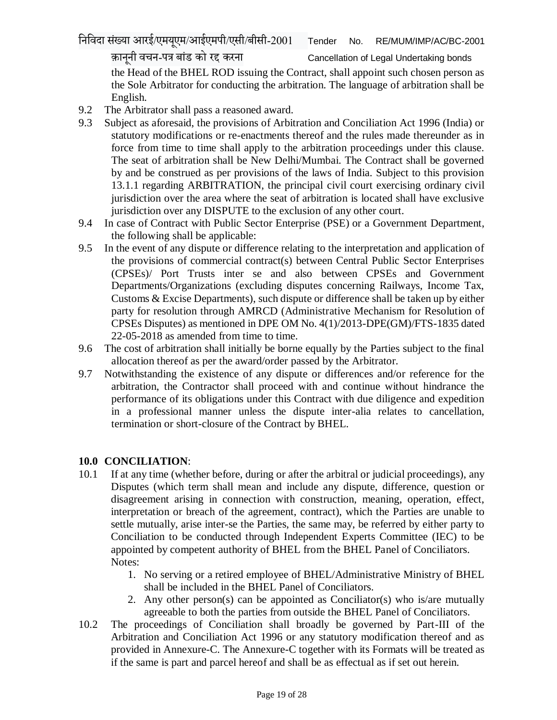the Head of the BHEL ROD issuing the Contract, shall appoint such chosen person as the Sole Arbitrator for conducting the arbitration. The language of arbitration shall be English.

- 9.2 The Arbitrator shall pass a reasoned award.
- 9.3 Subject as aforesaid, the provisions of Arbitration and Conciliation Act 1996 (India) or statutory modifications or re-enactments thereof and the rules made thereunder as in force from time to time shall apply to the arbitration proceedings under this clause. The seat of arbitration shall be New Delhi/Mumbai. The Contract shall be governed by and be construed as per provisions of the laws of India. Subject to this provision 13.1.1 regarding ARBITRATION, the principal civil court exercising ordinary civil jurisdiction over the area where the seat of arbitration is located shall have exclusive jurisdiction over any DISPUTE to the exclusion of any other court.
- 9.4 In case of Contract with Public Sector Enterprise (PSE) or a Government Department, the following shall be applicable:
- 9.5 In the event of any dispute or difference relating to the interpretation and application of the provisions of commercial contract(s) between Central Public Sector Enterprises (CPSEs)/ Port Trusts inter se and also between CPSEs and Government Departments/Organizations (excluding disputes concerning Railways, Income Tax, Customs & Excise Departments), such dispute or difference shall be taken up by either party for resolution through AMRCD (Administrative Mechanism for Resolution of CPSEs Disputes) as mentioned in DPE OM No. 4(1)/2013-DPE(GM)/FTS-1835 dated 22-05-2018 as amended from time to time.
- 9.6 The cost of arbitration shall initially be borne equally by the Parties subject to the final allocation thereof as per the award/order passed by the Arbitrator.
- 9.7 Notwithstanding the existence of any dispute or differences and/or reference for the arbitration, the Contractor shall proceed with and continue without hindrance the performance of its obligations under this Contract with due diligence and expedition in a professional manner unless the dispute inter-alia relates to cancellation, termination or short-closure of the Contract by BHEL.

# **10.0 CONCILIATION**:

- 10.1 If at any time (whether before, during or after the arbitral or judicial proceedings), any Disputes (which term shall mean and include any dispute, difference, question or disagreement arising in connection with construction, meaning, operation, effect, interpretation or breach of the agreement, contract), which the Parties are unable to settle mutually, arise inter-se the Parties, the same may, be referred by either party to Conciliation to be conducted through Independent Experts Committee (IEC) to be appointed by competent authority of BHEL from the BHEL Panel of Conciliators. Notes:
	- 1. No serving or a retired employee of BHEL/Administrative Ministry of BHEL shall be included in the BHEL Panel of Conciliators.
	- 2. Any other person(s) can be appointed as Conciliator(s) who is/are mutually agreeable to both the parties from outside the BHEL Panel of Conciliators.
- 10.2 The proceedings of Conciliation shall broadly be governed by Part-III of the Arbitration and Conciliation Act 1996 or any statutory modification thereof and as provided in Annexure-C. The Annexure-C together with its Formats will be treated as if the same is part and parcel hereof and shall be as effectual as if set out herein.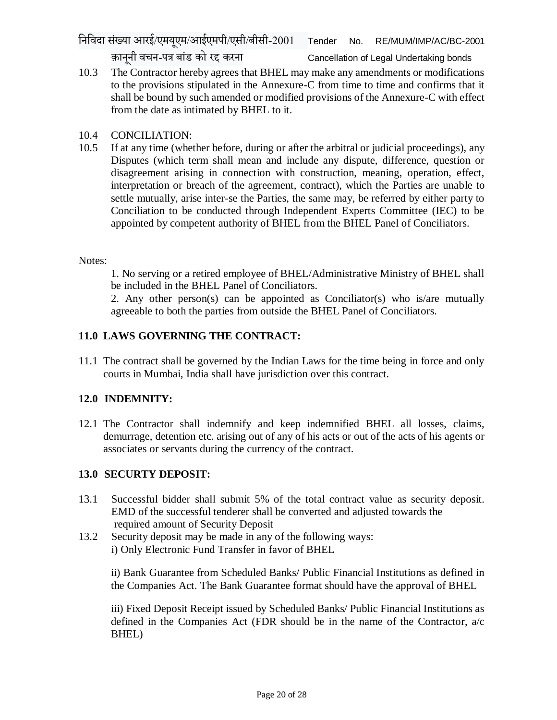10.3 The Contractor hereby agrees that BHEL may make any amendments or modifications to the provisions stipulated in the Annexure-C from time to time and confirms that it shall be bound by such amended or modified provisions of the Annexure-C with effect from the date as intimated by BHEL to it.

# 10.4 CONCILIATION:

10.5 If at any time (whether before, during or after the arbitral or judicial proceedings), any Disputes (which term shall mean and include any dispute, difference, question or disagreement arising in connection with construction, meaning, operation, effect, interpretation or breach of the agreement, contract), which the Parties are unable to settle mutually, arise inter-se the Parties, the same may, be referred by either party to Conciliation to be conducted through Independent Experts Committee (IEC) to be appointed by competent authority of BHEL from the BHEL Panel of Conciliators.

#### Notes:

1. No serving or a retired employee of BHEL/Administrative Ministry of BHEL shall be included in the BHEL Panel of Conciliators.

2. Any other person(s) can be appointed as Conciliator(s) who is/are mutually agreeable to both the parties from outside the BHEL Panel of Conciliators.

# **11.0 LAWS GOVERNING THE CONTRACT:**

11.1 The contract shall be governed by the Indian Laws for the time being in force and only courts in Mumbai, India shall have jurisdiction over this contract.

# **12.0 INDEMNITY:**

12.1 The Contractor shall indemnify and keep indemnified BHEL all losses, claims, demurrage, detention etc. arising out of any of his acts or out of the acts of his agents or associates or servants during the currency of the contract.

# **13.0 SECURTY DEPOSIT:**

- 13.1 Successful bidder shall submit 5% of the total contract value as security deposit. EMD of the successful tenderer shall be converted and adjusted towards the required amount of Security Deposit
- 13.2 Security deposit may be made in any of the following ways: i) Only Electronic Fund Transfer in favor of BHEL

ii) Bank Guarantee from Scheduled Banks/ Public Financial Institutions as defined in the Companies Act. The Bank Guarantee format should have the approval of BHEL

iii) Fixed Deposit Receipt issued by Scheduled Banks/ Public Financial Institutions as defined in the Companies Act (FDR should be in the name of the Contractor, a/c BHEL)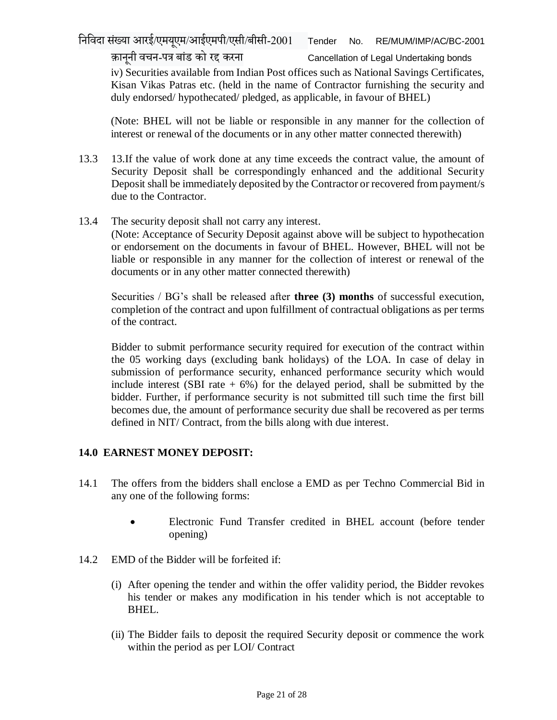निनिदा सख्ं या आरई/एमयएूम/आईएमपी/एसी/बीसी-2001 Tender No. RE/MUM/IMP/AC/BC-2001

क़ानूनी वचन-पत्र बांड को रद्द करना Cancellation of Legal Undertaking bonds iv) Securities available from Indian Post offices such as National Savings Certificates, Kisan Vikas Patras etc. (held in the name of Contractor furnishing the security and duly endorsed/ hypothecated/ pledged, as applicable, in favour of BHEL)

(Note: BHEL will not be liable or responsible in any manner for the collection of interest or renewal of the documents or in any other matter connected therewith)

- 13.3 13.If the value of work done at any time exceeds the contract value, the amount of Security Deposit shall be correspondingly enhanced and the additional Security Deposit shall be immediately deposited by the Contractor or recovered from payment/s due to the Contractor.
- 13.4 The security deposit shall not carry any interest.

(Note: Acceptance of Security Deposit against above will be subject to hypothecation or endorsement on the documents in favour of BHEL. However, BHEL will not be liable or responsible in any manner for the collection of interest or renewal of the documents or in any other matter connected therewith)

Securities / BG's shall be released after **three (3) months** of successful execution, completion of the contract and upon fulfillment of contractual obligations as per terms of the contract.

Bidder to submit performance security required for execution of the contract within the 05 working days (excluding bank holidays) of the LOA. In case of delay in submission of performance security, enhanced performance security which would include interest (SBI rate  $+ 6\%$ ) for the delayed period, shall be submitted by the bidder. Further, if performance security is not submitted till such time the first bill becomes due, the amount of performance security due shall be recovered as per terms defined in NIT/ Contract, from the bills along with due interest.

#### **14.0 EARNEST MONEY DEPOSIT:**

- 14.1 The offers from the bidders shall enclose a EMD as per Techno Commercial Bid in any one of the following forms:
	- Electronic Fund Transfer credited in BHEL account (before tender opening)
- 14.2 EMD of the Bidder will be forfeited if:
	- (i) After opening the tender and within the offer validity period, the Bidder revokes his tender or makes any modification in his tender which is not acceptable to BHEL.
	- (ii) The Bidder fails to deposit the required Security deposit or commence the work within the period as per LOI/ Contract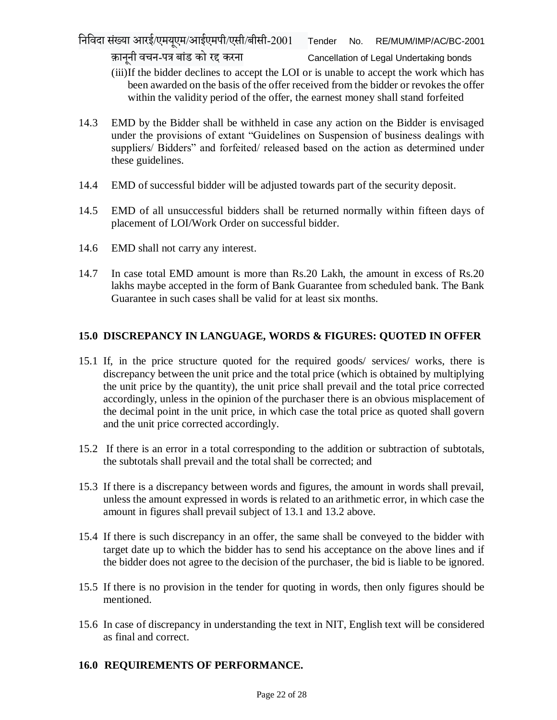(iii)If the bidder declines to accept the LOI or is unable to accept the work which has been awarded on the basis of the offer received from the bidder or revokes the offer within the validity period of the offer, the earnest money shall stand forfeited

- 14.3 EMD by the Bidder shall be withheld in case any action on the Bidder is envisaged under the provisions of extant "Guidelines on Suspension of business dealings with suppliers/ Bidders" and forfeited/ released based on the action as determined under these guidelines.
- 14.4 EMD of successful bidder will be adjusted towards part of the security deposit.
- 14.5 EMD of all unsuccessful bidders shall be returned normally within fifteen days of placement of LOI/Work Order on successful bidder.
- 14.6 EMD shall not carry any interest.
- 14.7 In case total EMD amount is more than Rs.20 Lakh, the amount in excess of Rs.20 lakhs maybe accepted in the form of Bank Guarantee from scheduled bank. The Bank Guarantee in such cases shall be valid for at least six months.

# **15.0 DISCREPANCY IN LANGUAGE, WORDS & FIGURES: QUOTED IN OFFER**

- 15.1 If, in the price structure quoted for the required goods/ services/ works, there is discrepancy between the unit price and the total price (which is obtained by multiplying the unit price by the quantity), the unit price shall prevail and the total price corrected accordingly, unless in the opinion of the purchaser there is an obvious misplacement of the decimal point in the unit price, in which case the total price as quoted shall govern and the unit price corrected accordingly.
- 15.2 If there is an error in a total corresponding to the addition or subtraction of subtotals, the subtotals shall prevail and the total shall be corrected; and
- 15.3 If there is a discrepancy between words and figures, the amount in words shall prevail, unless the amount expressed in words is related to an arithmetic error, in which case the amount in figures shall prevail subject of 13.1 and 13.2 above.
- 15.4 If there is such discrepancy in an offer, the same shall be conveyed to the bidder with target date up to which the bidder has to send his acceptance on the above lines and if the bidder does not agree to the decision of the purchaser, the bid is liable to be ignored.
- 15.5 If there is no provision in the tender for quoting in words, then only figures should be mentioned.
- 15.6 In case of discrepancy in understanding the text in NIT, English text will be considered as final and correct.

# **16.0 REQUIREMENTS OF PERFORMANCE.**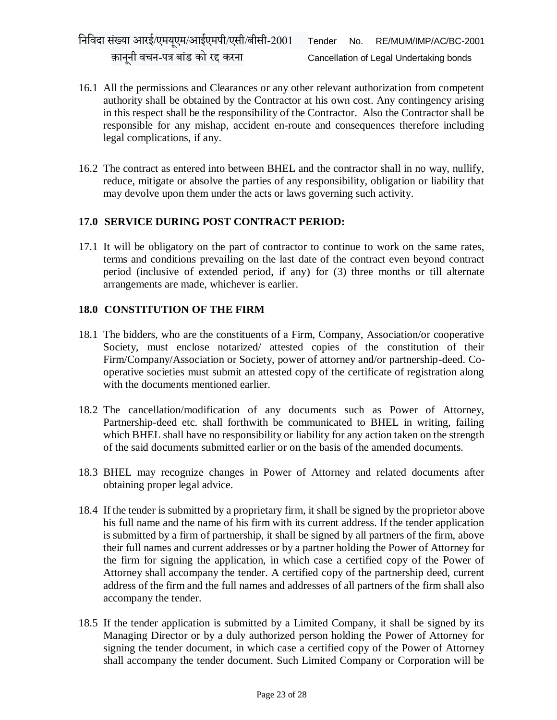- 16.1 All the permissions and Clearances or any other relevant authorization from competent authority shall be obtained by the Contractor at his own cost. Any contingency arising in this respect shall be the responsibility of the Contractor. Also the Contractor shall be responsible for any mishap, accident en-route and consequences therefore including legal complications, if any.
- 16.2 The contract as entered into between BHEL and the contractor shall in no way, nullify, reduce, mitigate or absolve the parties of any responsibility, obligation or liability that may devolve upon them under the acts or laws governing such activity.

#### **17.0 SERVICE DURING POST CONTRACT PERIOD:**

17.1 It will be obligatory on the part of contractor to continue to work on the same rates, terms and conditions prevailing on the last date of the contract even beyond contract period (inclusive of extended period, if any) for (3) three months or till alternate arrangements are made, whichever is earlier.

#### **18.0 CONSTITUTION OF THE FIRM**

- 18.1 The bidders, who are the constituents of a Firm, Company, Association/or cooperative Society, must enclose notarized/ attested copies of the constitution of their Firm/Company/Association or Society, power of attorney and/or partnership-deed. Cooperative societies must submit an attested copy of the certificate of registration along with the documents mentioned earlier.
- 18.2 The cancellation/modification of any documents such as Power of Attorney, Partnership-deed etc. shall forthwith be communicated to BHEL in writing, failing which BHEL shall have no responsibility or liability for any action taken on the strength of the said documents submitted earlier or on the basis of the amended documents.
- 18.3 BHEL may recognize changes in Power of Attorney and related documents after obtaining proper legal advice.
- 18.4 If the tender is submitted by a proprietary firm, it shall be signed by the proprietor above his full name and the name of his firm with its current address. If the tender application is submitted by a firm of partnership, it shall be signed by all partners of the firm, above their full names and current addresses or by a partner holding the Power of Attorney for the firm for signing the application, in which case a certified copy of the Power of Attorney shall accompany the tender. A certified copy of the partnership deed, current address of the firm and the full names and addresses of all partners of the firm shall also accompany the tender.
- 18.5 If the tender application is submitted by a Limited Company, it shall be signed by its Managing Director or by a duly authorized person holding the Power of Attorney for signing the tender document, in which case a certified copy of the Power of Attorney shall accompany the tender document. Such Limited Company or Corporation will be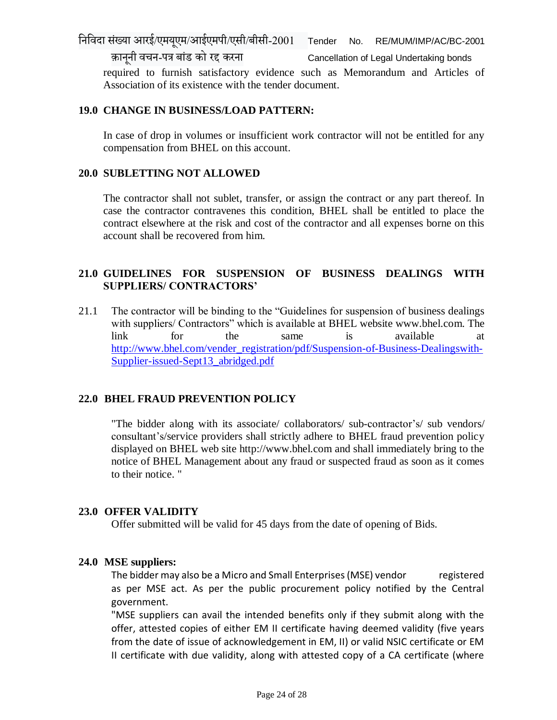निनिदा संख्या आरई/एमयएूम/आईएमपी/एसी/बीसी-2001 Tender No. RE/MUM/IMP/AC/BC-2001

क़ानूनी वचन-पत्र बांड को रद्द करना Cancellation of Legal Undertaking bonds

required to furnish satisfactory evidence such as Memorandum and Articles of Association of its existence with the tender document.

#### **19.0 CHANGE IN BUSINESS/LOAD PATTERN:**

In case of drop in volumes or insufficient work contractor will not be entitled for any compensation from BHEL on this account.

#### **20.0 SUBLETTING NOT ALLOWED**

The contractor shall not sublet, transfer, or assign the contract or any part thereof. In case the contractor contravenes this condition, BHEL shall be entitled to place the contract elsewhere at the risk and cost of the contractor and all expenses borne on this account shall be recovered from him.

#### **21.0 GUIDELINES FOR SUSPENSION OF BUSINESS DEALINGS WITH SUPPLIERS/ CONTRACTORS'**

21.1 The contractor will be binding to the "Guidelines for suspension of business dealings with suppliers/ Contractors" which is available at BHEL website www.bhel.com. The link for the same is available at [http://www.bhel.com/vender\\_registration/pdf/Suspension-of-Business-Dealingswith-](http://www.bhel.com/vender_registration/pdf/Suspension-of-Business-Dealingswith-Supplier-issued-Sept13_abridged.pdf)[Supplier-issued-Sept13\\_abridged.pdf](http://www.bhel.com/vender_registration/pdf/Suspension-of-Business-Dealingswith-Supplier-issued-Sept13_abridged.pdf)

#### **22.0 BHEL FRAUD PREVENTION POLICY**

"The bidder along with its associate/ collaborators/ sub-contractor's/ sub vendors/ consultant's/service providers shall strictly adhere to BHEL fraud prevention policy displayed on BHEL web site http://www.bhel.com and shall immediately bring to the notice of BHEL Management about any fraud or suspected fraud as soon as it comes to their notice. "

#### **23.0 OFFER VALIDITY**

Offer submitted will be valid for 45 days from the date of opening of Bids.

#### **24.0 MSE suppliers:**

The bidder may also be a Micro and Small Enterprises (MSE) vendor registered as per MSE act. As per the public procurement policy notified by the Central government.

"MSE suppliers can avail the intended benefits only if they submit along with the offer, attested copies of either EM II certificate having deemed validity (five years from the date of issue of acknowledgement in EM, II) or valid NSIC certificate or EM II certificate with due validity, along with attested copy of a CA certificate (where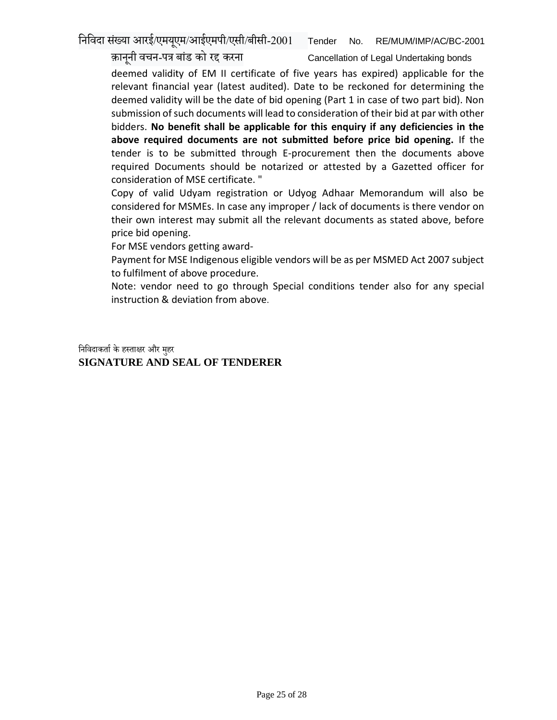निनिदा सख्ं या आरई/एमयएूम/आईएमपी/एसी/बीसी-2001 Tender No. RE/MUM/IMP/AC/BC-2001

क़ानूनी वचन-पत्र बांड को रद्द करना Cancellation of Legal Undertaking bonds

deemed validity of EM II certificate of five years has expired) applicable for the relevant financial year (latest audited). Date to be reckoned for determining the deemed validity will be the date of bid opening (Part 1 in case of two part bid). Non submission of such documents will lead to consideration of their bid at par with other bidders. **No benefit shall be applicable for this enquiry if any deficiencies in the above required documents are not submitted before price bid opening.** If the tender is to be submitted through E-procurement then the documents above required Documents should be notarized or attested by a Gazetted officer for consideration of MSE certificate. "

Copy of valid Udyam registration or Udyog Adhaar Memorandum will also be considered for MSMEs. In case any improper / lack of documents is there vendor on their own interest may submit all the relevant documents as stated above, before price bid opening.

For MSE vendors getting award-

Payment for MSE Indigenous eligible vendors will be as per MSMED Act 2007 subject to fulfilment of above procedure.

Note: vendor need to go through Special conditions tender also for any special instruction & deviation from above.

निनिदाकर्ााकेहस्र्ाक्षर और महुर **SIGNATURE AND SEAL OF TENDERER**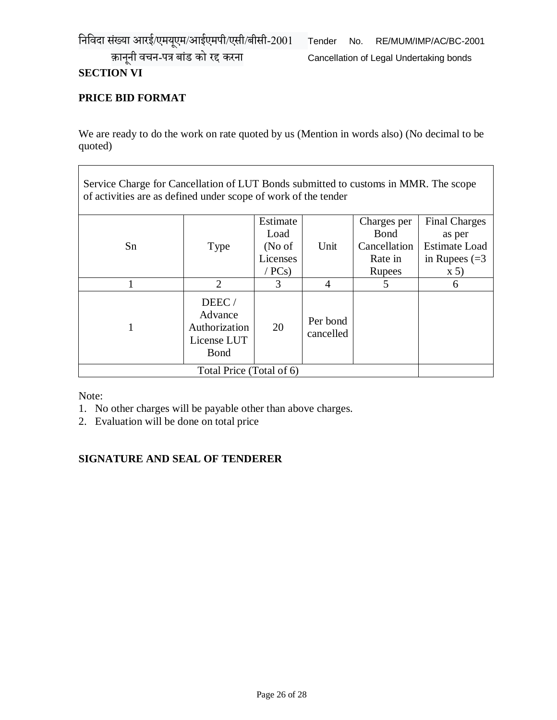## **SECTION VI**

# **PRICE BID FORMAT**

We are ready to do the work on rate quoted by us (Mention in words also) (No decimal to be quoted)

Service Charge for Cancellation of LUT Bonds submitted to customs in MMR. The scope of activities are as defined under scope of work of the tender

|                          |                                                                  | Estimate |                       | Charges per   | <b>Final Charges</b> |
|--------------------------|------------------------------------------------------------------|----------|-----------------------|---------------|----------------------|
|                          |                                                                  | Load     |                       | <b>Bond</b>   | as per               |
| Sn                       | Type                                                             | (No of   | Unit                  | Cancellation  | <b>Estimate Load</b> |
|                          |                                                                  | Licenses |                       | Rate in       | in Rupees $(=3)$     |
|                          |                                                                  | /PCs)    |                       | <b>Rupees</b> | $\mathbf{X}$ 5)      |
|                          | $\overline{2}$                                                   | 3        |                       | 5             | 6                    |
|                          | DEEC/<br>Advance<br>Authorization<br>License LUT<br><b>B</b> ond | 20       | Per bond<br>cancelled |               |                      |
| Total Price (Total of 6) |                                                                  |          |                       |               |                      |

Note:

- 1. No other charges will be payable other than above charges.
- 2. Evaluation will be done on total price

#### **SIGNATURE AND SEAL OF TENDERER**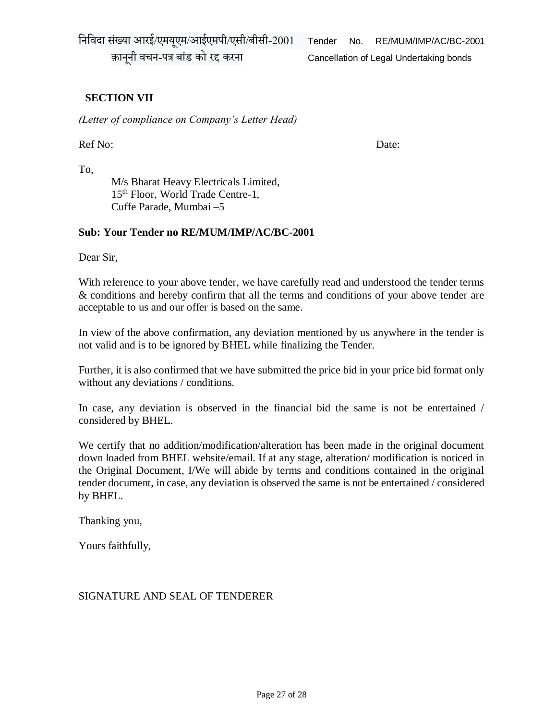निनिदा संख्या आरई/एमयएूम/आईएमपी/एसी/बीसी-2001 Tender No. RE/MUM/IMP/AC/BC-2001

क़ानूनी वचन-पत्र बांड को रद्द करना Cancellation of Legal Undertaking bonds

# **SECTION VII**

*(Letter of compliance on Company's Letter Head)*

Ref No: Date:

To,

M/s Bharat Heavy Electricals Limited, 15<sup>th</sup> Floor, World Trade Centre-1, Cuffe Parade, Mumbai –5

#### **Sub: Your Tender no RE/MUM/IMP/AC/BC-2001**

Dear Sir,

With reference to your above tender, we have carefully read and understood the tender terms & conditions and hereby confirm that all the terms and conditions of your above tender are acceptable to us and our offer is based on the same.

In view of the above confirmation, any deviation mentioned by us anywhere in the tender is not valid and is to be ignored by BHEL while finalizing the Tender.

Further, it is also confirmed that we have submitted the price bid in your price bid format only without any deviations / conditions.

In case, any deviation is observed in the financial bid the same is not be entertained / considered by BHEL.

We certify that no addition/modification/alteration has been made in the original document down loaded from BHEL website/email. If at any stage, alteration/ modification is noticed in the Original Document, I/We will abide by terms and conditions contained in the original tender document, in case, any deviation is observed the same is not be entertained / considered by BHEL.

Thanking you,

Yours faithfully,

#### SIGNATURE AND SEAL OF TENDERER